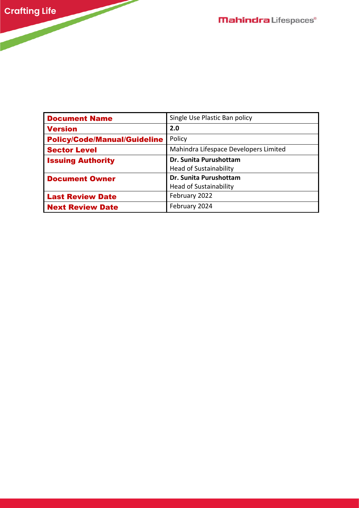| <b>Document Name</b>                | Single Use Plastic Ban policy         |
|-------------------------------------|---------------------------------------|
| <b>Version</b>                      | 2.0                                   |
| <b>Policy/Code/Manual/Guideline</b> | Policy                                |
| <b>Sector Level</b>                 | Mahindra Lifespace Developers Limited |
| <b>Issuing Authority</b>            | Dr. Sunita Purushottam                |
|                                     | <b>Head of Sustainability</b>         |
| <b>Document Owner</b>               | Dr. Sunita Purushottam                |
|                                     | <b>Head of Sustainability</b>         |
| <b>Last Review Date</b>             | February 2022                         |
| <b>Next Review Date</b>             | February 2024                         |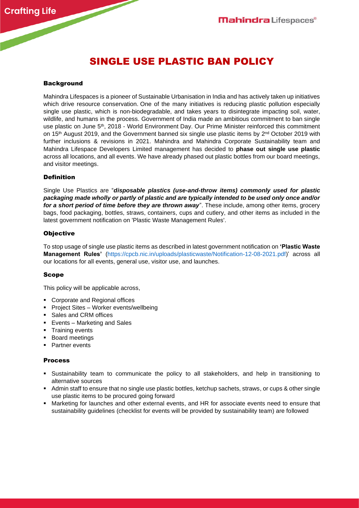# SINGLE USE PLASTIC BAN POLICY

### **Background**

Mahindra Lifespaces is a pioneer of Sustainable Urbanisation in India and has actively taken up initiatives which drive resource conservation. One of the many initiatives is reducing plastic pollution especially single use plastic, which is non-biodegradable, and takes years to disintegrate impacting soil, water, wildlife, and humans in the process. Government of India made an ambitious commitment to ban single use plastic on June 5<sup>th</sup>, 2018 - World Environment Day. Our Prime Minister reinforced this commitment on 15<sup>th</sup> August 2019, and the Government banned six single use plastic items by 2<sup>nd</sup> October 2019 with further inclusions & revisions in 2021. Mahindra and Mahindra Corporate Sustainability team and Mahindra Lifespace Developers Limited management has decided to **phase out single use plastic** across all locations, and all events. We have already phased out plastic bottles from our board meetings, and visitor meetings.

#### Definition

Single Use Plastics are "*disposable plastics (use-and-throw items) commonly used for plastic packaging made wholly or partly of plastic and are typically intended to be used only once and/or for a short period of time before they are thrown away*". These include, among other items, grocery bags, food packaging, bottles, straws, containers, cups and cutlery, and other items as included in the latest government notification on 'Plastic Waste Management Rules'.

#### **Objective**

To stop usage of single use plastic items as described in latest government notification on **'Plastic Waste Management Rules'** [\(https://cpcb.nic.in/uploads/plasticwaste/Notification-12-08-2021.pdf\)](https://cpcb.nic.in/uploads/plasticwaste/Notification-12-08-2021.pdf)' across all our locations for all events, general use, visitor use, and launches.

# Scope

This policy will be applicable across,

- Corporate and Regional offices
- **•** Project Sites Worker events/wellbeing
- Sales and CRM offices
- Events Marketing and Sales
- **•** Training events
- Board meetings
- Partner events

#### Process

- Sustainability team to communicate the policy to all stakeholders, and help in transitioning to alternative sources
- Admin staff to ensure that no single use plastic bottles, ketchup sachets, straws, or cups & other single use plastic items to be procured going forward
- Marketing for launches and other external events, and HR for associate events need to ensure that sustainability guidelines (checklist for events will be provided by sustainability team) are followed